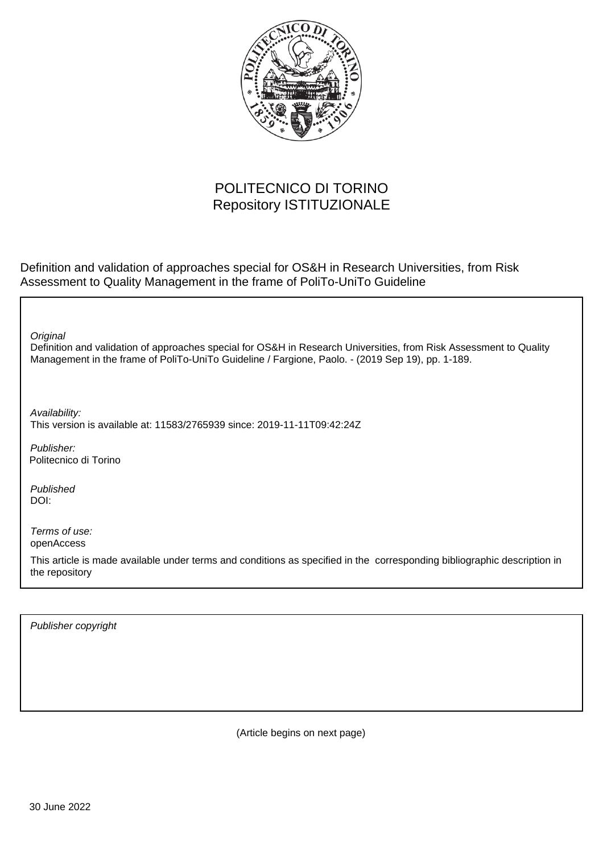

## POLITECNICO DI TORINO Repository ISTITUZIONALE

Definition and validation of approaches special for OS&H in Research Universities, from Risk Assessment to Quality Management in the frame of PoliTo-UniTo Guideline

Definition and validation of approaches special for OS&H in Research Universities, from Risk Assessment to Quality Management in the frame of PoliTo-UniTo Guideline / Fargione, Paolo. - (2019 Sep 19), pp. 1-189. **Original** Publisher: Published DOI: Terms of use: openAccess This article is made available under terms and conditions as specified in the corresponding bibliographic description in the repository Availability: This version is available at: 11583/2765939 since: 2019-11-11T09:42:24Z Politecnico di Torino

Publisher copyright

(Article begins on next page)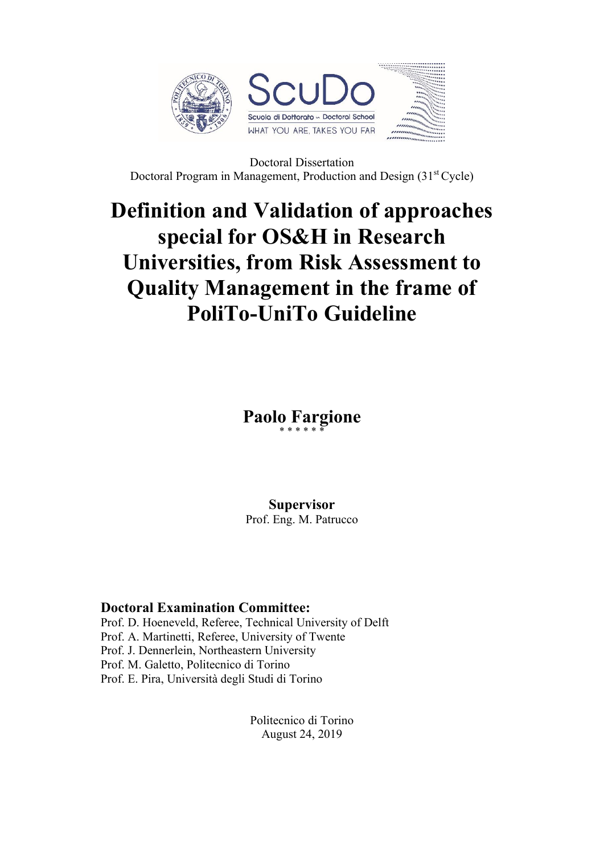

Doctoral Dissertation Doctoral Program in Management, Production and Design (31st Cycle)

## **Definition and Validation of approaches special for OS&H in Research Universities, from Risk Assessment to Quality Management in the frame of PoliTo-UniTo Guideline**

**Paolo Fargione** \* \* \* \* \* \*

**Supervisor**

Prof. Eng. M. Patrucco

## **Doctoral Examination Committee:**

Prof. D. Hoeneveld, Referee, Technical University of Delft Prof. A. Martinetti, Referee, University of Twente Prof. J. Dennerlein, Northeastern University Prof. M. Galetto, Politecnico di Torino Prof. E. Pira, Università degli Studi di Torino

> Politecnico di Torino August 24, 2019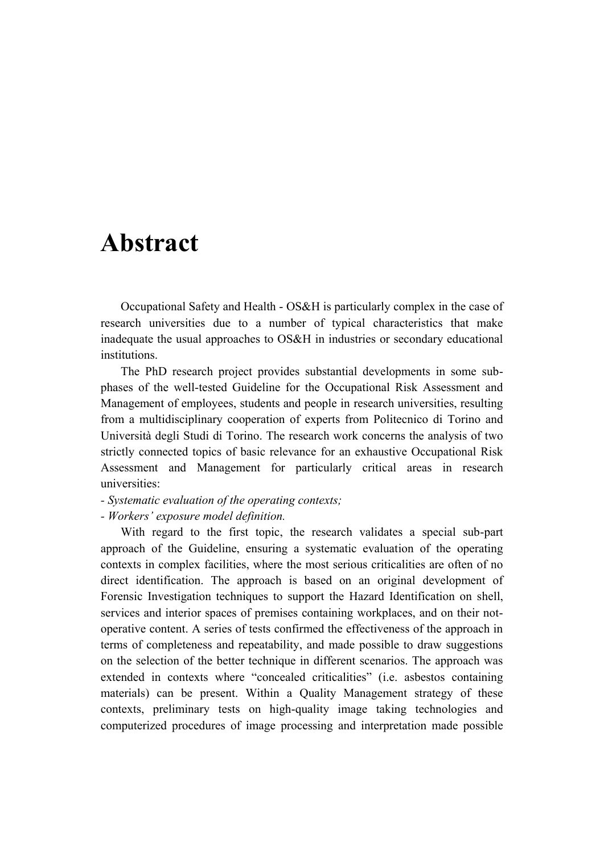## **Abstract**

Occupational Safety and Health - OS&H is particularly complex in the case of research universities due to a number of typical characteristics that make inadequate the usual approaches to OS&H in industries or secondary educational institutions.

The PhD research project provides substantial developments in some subphases of the well-tested Guideline for the Occupational Risk Assessment and Management of employees, students and people in research universities, resulting from a multidisciplinary cooperation of experts from Politecnico di Torino and Università degli Studi di Torino. The research work concerns the analysis of two strictly connected topics of basic relevance for an exhaustive Occupational Risk Assessment and Management for particularly critical areas in research universities:

*- Systematic evaluation of the operating contexts;* 

*- Workers' exposure model definition.* 

With regard to the first topic, the research validates a special sub-part approach of the Guideline, ensuring a systematic evaluation of the operating contexts in complex facilities, where the most serious criticalities are often of no direct identification. The approach is based on an original development of Forensic Investigation techniques to support the Hazard Identification on shell, services and interior spaces of premises containing workplaces, and on their notoperative content. A series of tests confirmed the effectiveness of the approach in terms of completeness and repeatability, and made possible to draw suggestions on the selection of the better technique in different scenarios. The approach was extended in contexts where "concealed criticalities" (i.e. asbestos containing materials) can be present. Within a Quality Management strategy of these contexts, preliminary tests on high-quality image taking technologies and computerized procedures of image processing and interpretation made possible